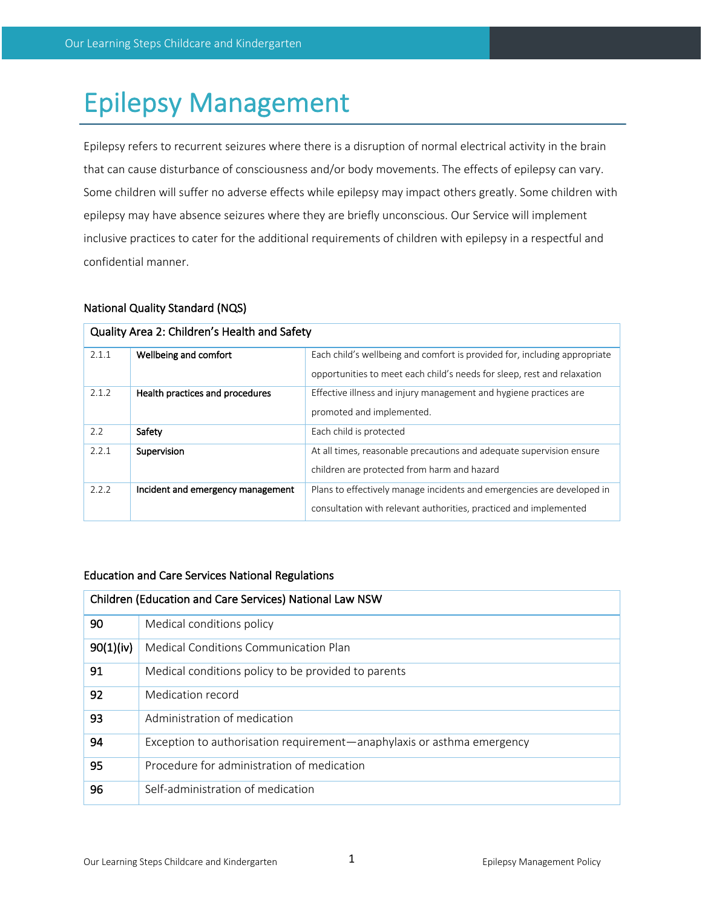# Epilepsy Management

Epilepsy refers to recurrent seizures where there is a disruption of normal electrical activity in the brain that can cause disturbance of consciousness and/or body movements. The effects of epilepsy can vary. Some children will suffer no adverse effects while epilepsy may impact others greatly. Some children with epilepsy may have absence seizures where they are briefly unconscious. Our Service will implement inclusive practices to cater for the additional requirements of children with epilepsy in a respectful and confidential manner.

#### National Quality Standard (NQS)

| Quality Area 2: Children's Health and Safety |                                                                                     |                                                                           |  |  |
|----------------------------------------------|-------------------------------------------------------------------------------------|---------------------------------------------------------------------------|--|--|
| 2.1.1                                        | Wellbeing and comfort                                                               | Each child's wellbeing and comfort is provided for, including appropriate |  |  |
|                                              |                                                                                     | opportunities to meet each child's needs for sleep, rest and relaxation   |  |  |
| 2.1.2                                        | Health practices and procedures                                                     | Effective illness and injury management and hygiene practices are         |  |  |
|                                              |                                                                                     | promoted and implemented.                                                 |  |  |
| 2.2                                          | Safety                                                                              | Each child is protected                                                   |  |  |
| 2.2.1                                        | At all times, reasonable precautions and adequate supervision ensure<br>Supervision |                                                                           |  |  |
|                                              |                                                                                     | children are protected from harm and hazard                               |  |  |
| 2.2.2                                        | Incident and emergency management                                                   | Plans to effectively manage incidents and emergencies are developed in    |  |  |
|                                              |                                                                                     | consultation with relevant authorities, practiced and implemented         |  |  |

#### Education and Care Services National Regulations

| Children (Education and Care Services) National Law NSW |                                                                        |  |  |
|---------------------------------------------------------|------------------------------------------------------------------------|--|--|
| 90                                                      | Medical conditions policy                                              |  |  |
| 90(1)(iv)                                               | Medical Conditions Communication Plan                                  |  |  |
| 91                                                      | Medical conditions policy to be provided to parents                    |  |  |
| 92                                                      | Medication record                                                      |  |  |
| 93                                                      | Administration of medication                                           |  |  |
| 94                                                      | Exception to authorisation requirement-anaphylaxis or asthma emergency |  |  |
| 95                                                      | Procedure for administration of medication                             |  |  |
| 96                                                      | Self-administration of medication                                      |  |  |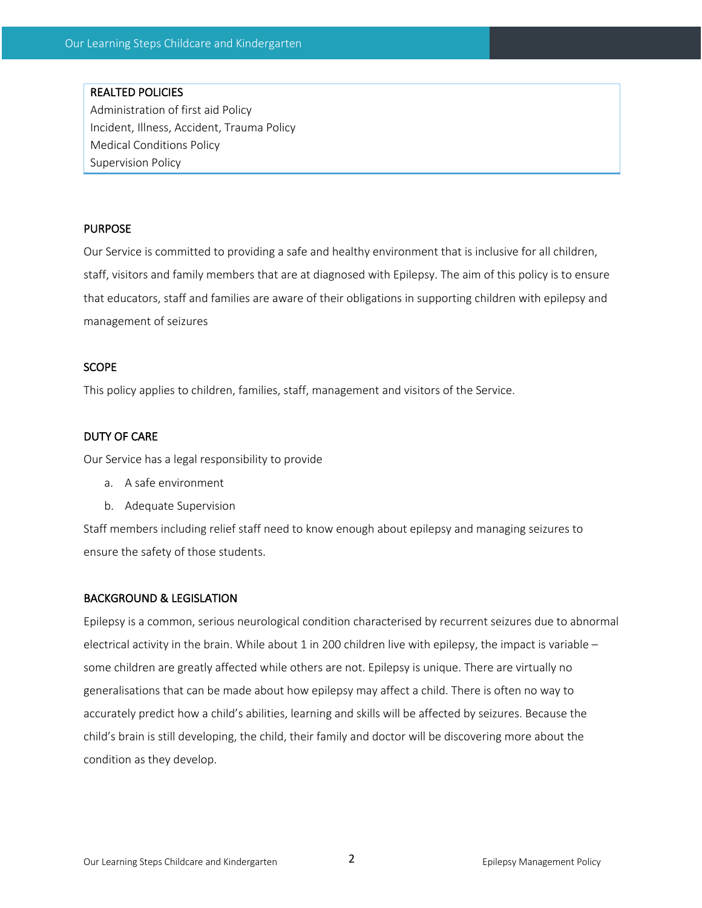#### REALTED POLICIES

Administration of first aid Policy Incident, Illness, Accident, Trauma Policy Medical Conditions Policy Supervision Policy

#### PURPOSE

Our Service is committed to providing a safe and healthy environment that is inclusive for all children, staff, visitors and family members that are at diagnosed with Epilepsy. The aim of this policy is to ensure that educators, staff and families are aware of their obligations in supporting children with epilepsy and management of seizures

#### **SCOPE**

This policy applies to children, families, staff, management and visitors of the Service.

#### DUTY OF CARE

Our Service has a legal responsibility to provide

- a. A safe environment
- b. Adequate Supervision

Staff members including relief staff need to know enough about epilepsy and managing seizures to ensure the safety of those students.

#### BACKGROUND & LEGISLATION

Epilepsy is a common, serious neurological condition characterised by recurrent seizures due to abnormal electrical activity in the brain. While about 1 in 200 children live with epilepsy, the impact is variable  $$ some children are greatly affected while others are not. Epilepsy is unique. There are virtually no generalisations that can be made about how epilepsy may affect a child. There is often no way to accurately predict how a child's abilities, learning and skills will be affected by seizures. Because the child's brain is still developing, the child, their family and doctor will be discovering more about the condition as they develop.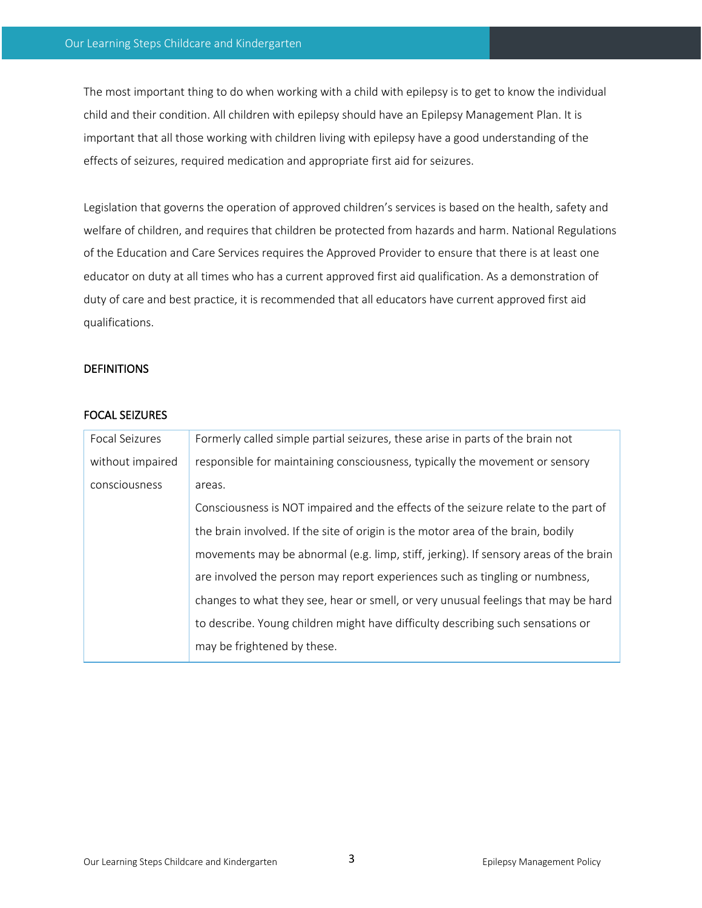The most important thing to do when working with a child with epilepsy is to get to know the individual child and their condition. All children with epilepsy should have an Epilepsy Management Plan. It is important that all those working with children living with epilepsy have a good understanding of the effects of seizures, required medication and appropriate first aid for seizures.

Legislation that governs the operation of approved children's services is based on the health, safety and welfare of children, and requires that children be protected from hazards and harm. National Regulations of the Education and Care Services requires the Approved Provider to ensure that there is at least one educator on duty at all times who has a current approved first aid qualification. As a demonstration of duty of care and best practice, it is recommended that all educators have current approved first aid qualifications.

#### **DEFINITIONS**

#### FOCAL SEIZURES

| <b>Focal Seizures</b> | Formerly called simple partial seizures, these arise in parts of the brain not       |
|-----------------------|--------------------------------------------------------------------------------------|
| without impaired      | responsible for maintaining consciousness, typically the movement or sensory         |
| consciousness         | areas.                                                                               |
|                       | Consciousness is NOT impaired and the effects of the seizure relate to the part of   |
|                       | the brain involved. If the site of origin is the motor area of the brain, bodily     |
|                       | movements may be abnormal (e.g. limp, stiff, jerking). If sensory areas of the brain |
|                       | are involved the person may report experiences such as tingling or numbness,         |
|                       | changes to what they see, hear or smell, or very unusual feelings that may be hard   |
|                       | to describe. Young children might have difficulty describing such sensations or      |
|                       | may be frightened by these.                                                          |
|                       |                                                                                      |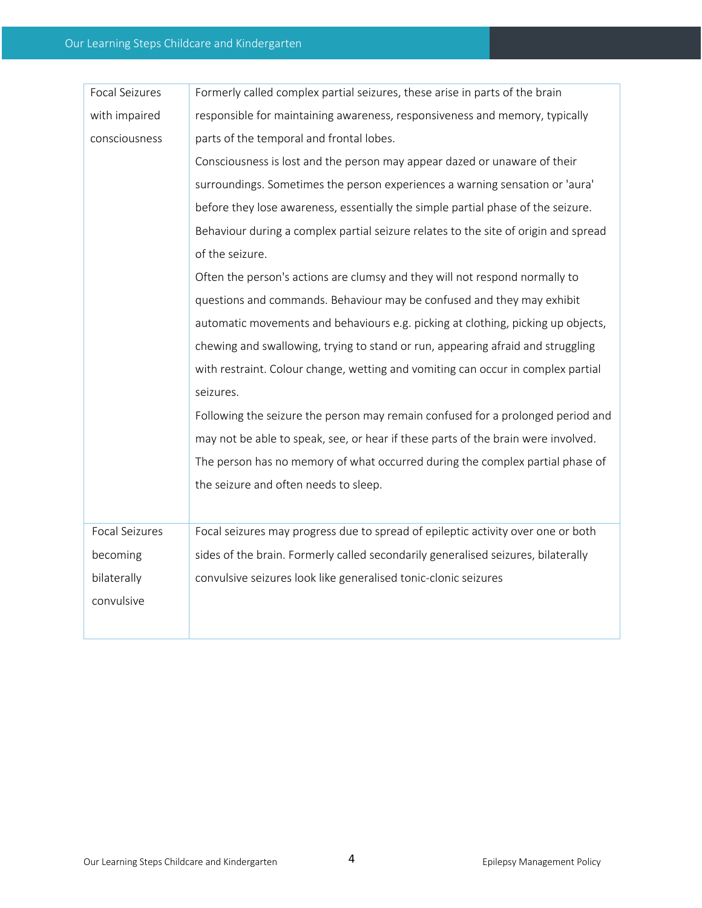| Focal Seizures | Formerly called complex partial seizures, these arise in parts of the brain         |
|----------------|-------------------------------------------------------------------------------------|
| with impaired  | responsible for maintaining awareness, responsiveness and memory, typically         |
| consciousness  | parts of the temporal and frontal lobes.                                            |
|                | Consciousness is lost and the person may appear dazed or unaware of their           |
|                | surroundings. Sometimes the person experiences a warning sensation or 'aura'        |
|                | before they lose awareness, essentially the simple partial phase of the seizure.    |
|                | Behaviour during a complex partial seizure relates to the site of origin and spread |
|                | of the seizure.                                                                     |
|                | Often the person's actions are clumsy and they will not respond normally to         |
|                | questions and commands. Behaviour may be confused and they may exhibit              |
|                | automatic movements and behaviours e.g. picking at clothing, picking up objects,    |
|                | chewing and swallowing, trying to stand or run, appearing afraid and struggling     |
|                | with restraint. Colour change, wetting and vomiting can occur in complex partial    |
|                | seizures.                                                                           |
|                | Following the seizure the person may remain confused for a prolonged period and     |
|                | may not be able to speak, see, or hear if these parts of the brain were involved.   |
|                | The person has no memory of what occurred during the complex partial phase of       |
|                | the seizure and often needs to sleep.                                               |
|                |                                                                                     |
| Focal Seizures | Focal seizures may progress due to spread of epileptic activity over one or both    |
| becoming       | sides of the brain. Formerly called secondarily generalised seizures, bilaterally   |
| bilaterally    | convulsive seizures look like generalised tonic-clonic seizures                     |
| convulsive     |                                                                                     |
|                |                                                                                     |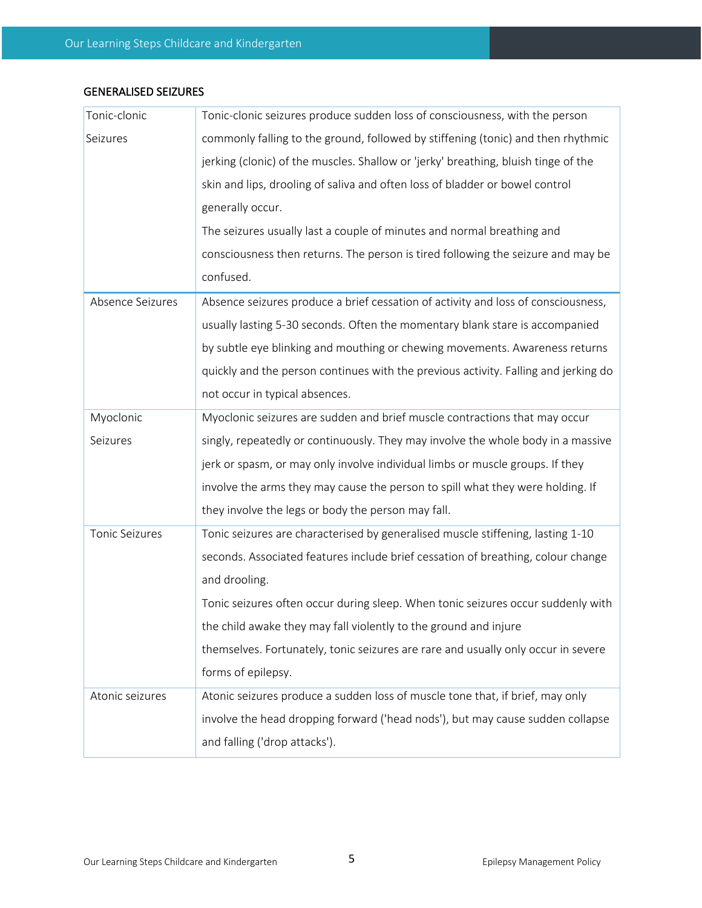# Tonic-clonic Seizures Tonic-clonic seizures produce sudden loss of consciousness, with the person commonly falling to the ground, followed by stiffening (tonic) and then rhythmic jerking (clonic) of the muscles. Shallow or 'jerky' breathing, bluish tinge of the skin and lips, drooling of saliva and often loss of bladder or bowel control generally occur. The seizures usually last a couple of minutes and normal breathing and consciousness then returns. The person is tired following the seizure and may be confused. Absence Seizures Absence seizures produce a brief cessation of activity and loss of consciousness, usually lasting 5-30 seconds. Often the momentary blank stare is accompanied by subtle eye blinking and mouthing or chewing movements. Awareness returns quickly and the person continues with the previous activity. Falling and jerking do not occur in typical absences. Myoclonic Seizures Myoclonic seizures are sudden and brief muscle contractions that may occur singly, repeatedly or continuously. They may involve the whole body in a massive jerk or spasm, or may only involve individual limbs or muscle groups. If they involve the arms they may cause the person to spill what they were holding. If they involve the legs or body the person may fall. Tonic Seizures Tonic seizures are characterised by generalised muscle stiffening, lasting 1-10 seconds. Associated features include brief cessation of breathing, colour change and drooling. Tonic seizures often occur during sleep. When tonic seizures occur suddenly with the child awake they may fall violently to the ground and injure themselves. Fortunately, tonic seizures are rare and usually only occur in severe

#### GENERALISED SEIZURES

forms of epilepsy. Atonic seizures Atonic seizures produce a sudden loss of muscle tone that, if brief, may only involve the head dropping forward ('head nods'), but may cause sudden collapse and falling ('drop attacks').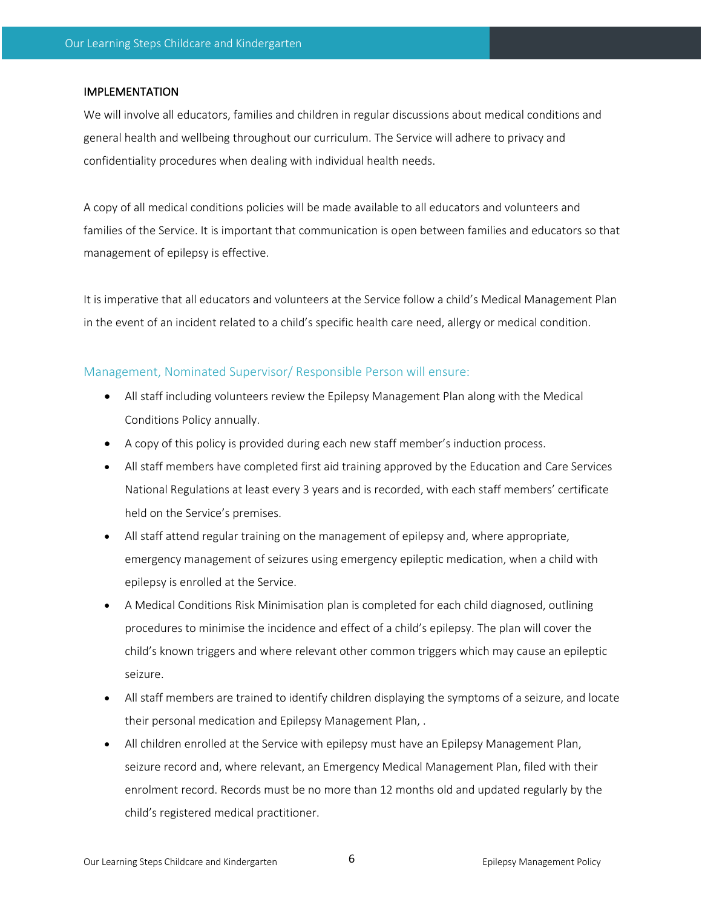#### IMPLEMENTATION

We will involve all educators, families and children in regular discussions about medical conditions and general health and wellbeing throughout our curriculum. The Service will adhere to privacy and confidentiality procedures when dealing with individual health needs.

A copy of all medical conditions policies will be made available to all educators and volunteers and families of the Service. It is important that communication is open between families and educators so that management of epilepsy is effective.

It is imperative that all educators and volunteers at the Service follow a child's Medical Management Plan in the event of an incident related to a child's specific health care need, allergy or medical condition.

#### Management, Nominated Supervisor/ Responsible Person will ensure:

- All staff including volunteers review the Epilepsy Management Plan along with the Medical Conditions Policy annually.
- A copy of this policy is provided during each new staff member's induction process.
- All staff members have completed first aid training approved by the Education and Care Services National Regulations at least every 3 years and is recorded, with each staff members' certificate held on the Service's premises.
- All staff attend regular training on the management of epilepsy and, where appropriate, emergency management of seizures using emergency epileptic medication, when a child with epilepsy is enrolled at the Service.
- A Medical Conditions Risk Minimisation plan is completed for each child diagnosed, outlining procedures to minimise the incidence and effect of a child's epilepsy. The plan will cover the child's known triggers and where relevant other common triggers which may cause an epileptic seizure.
- All staff members are trained to identify children displaying the symptoms of a seizure, and locate their personal medication and Epilepsy Management Plan, .
- All children enrolled at the Service with epilepsy must have an Epilepsy Management Plan, seizure record and, where relevant, an Emergency Medical Management Plan, filed with their enrolment record. Records must be no more than 12 months old and updated regularly by the child's registered medical practitioner.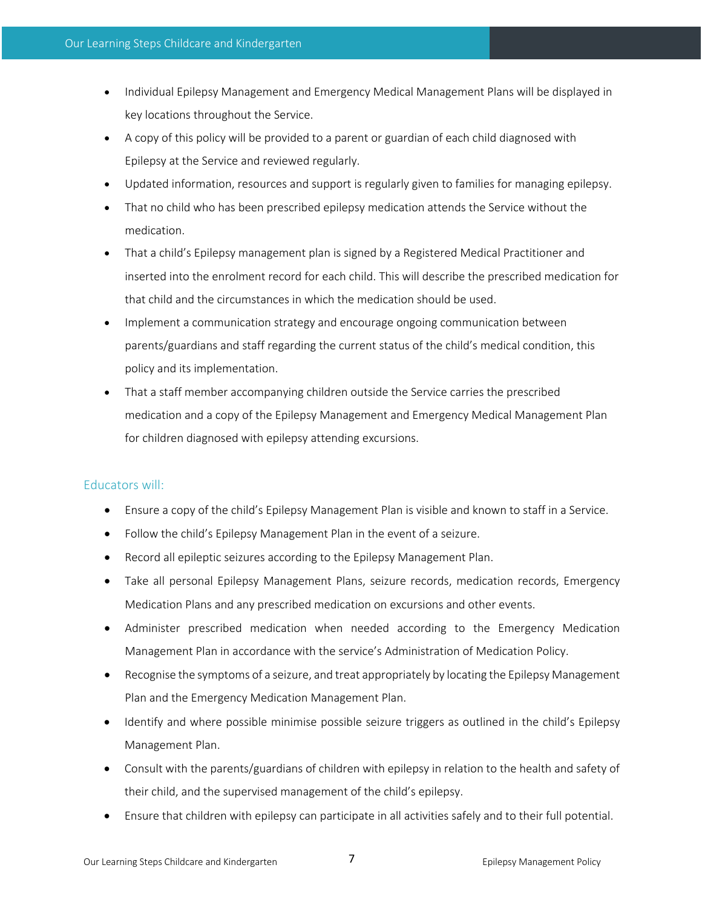- Individual Epilepsy Management and Emergency Medical Management Plans will be displayed in key locations throughout the Service.
- A copy of this policy will be provided to a parent or guardian of each child diagnosed with Epilepsy at the Service and reviewed regularly.
- Updated information, resources and support is regularly given to families for managing epilepsy.
- That no child who has been prescribed epilepsy medication attends the Service without the medication.
- That a child's Epilepsy management plan is signed by a Registered Medical Practitioner and inserted into the enrolment record for each child. This will describe the prescribed medication for that child and the circumstances in which the medication should be used.
- Implement a communication strategy and encourage ongoing communication between parents/guardians and staff regarding the current status of the child's medical condition, this policy and its implementation.
- That a staff member accompanying children outside the Service carries the prescribed medication and a copy of the Epilepsy Management and Emergency Medical Management Plan for children diagnosed with epilepsy attending excursions.

### Educators will:

- Ensure a copy of the child's Epilepsy Management Plan is visible and known to staff in a Service.
- Follow the child's Epilepsy Management Plan in the event of a seizure.
- Record all epileptic seizures according to the Epilepsy Management Plan.
- Take all personal Epilepsy Management Plans, seizure records, medication records, Emergency Medication Plans and any prescribed medication on excursions and other events.
- Administer prescribed medication when needed according to the Emergency Medication Management Plan in accordance with the service's Administration of Medication Policy.
- Recognise the symptoms of a seizure, and treat appropriately by locating the Epilepsy Management Plan and the Emergency Medication Management Plan.
- Identify and where possible minimise possible seizure triggers as outlined in the child's Epilepsy Management Plan.
- Consult with the parents/guardians of children with epilepsy in relation to the health and safety of their child, and the supervised management of the child's epilepsy.
- Ensure that children with epilepsy can participate in all activities safely and to their full potential.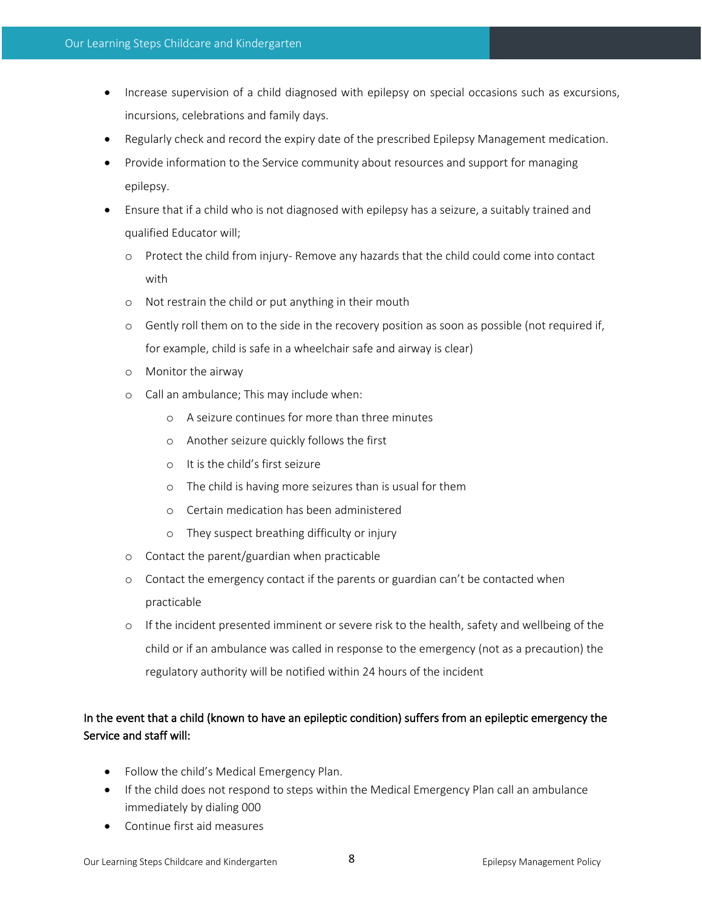- Increase supervision of a child diagnosed with epilepsy on special occasions such as excursions, incursions, celebrations and family days.
- Regularly check and record the expiry date of the prescribed Epilepsy Management medication.
- Provide information to the Service community about resources and support for managing epilepsy.
- Ensure that if a child who is not diagnosed with epilepsy has a seizure, a suitably trained and qualified Educator will;
	- o Protect the child from injury- Remove any hazards that the child could come into contact with
	- o Not restrain the child or put anything in their mouth
	- o Gently roll them on to the side in the recovery position as soon as possible (not required if, for example, child is safe in a wheelchair safe and airway is clear)
	- o Monitor the airway
	- o Call an ambulance; This may include when:
		- o A seizure continues for more than three minutes
		- o Another seizure quickly follows the first
		- $\circ$  It is the child's first seizure
		- o The child is having more seizures than is usual for them
		- o Certain medication has been administered
		- o They suspect breathing difficulty or injury
	- o Contact the parent/guardian when practicable
	- o Contact the emergency contact if the parents or guardian can't be contacted when practicable
	- o If the incident presented imminent or severe risk to the health, safety and wellbeing of the child or if an ambulance was called in response to the emergency (not as a precaution) the regulatory authority will be notified within 24 hours of the incident

## In the event that a child (known to have an epileptic condition) suffers from an epileptic emergency the Service and staff will:

- Follow the child's Medical Emergency Plan.
- If the child does not respond to steps within the Medical Emergency Plan call an ambulance immediately by dialing 000
- Continue first aid measures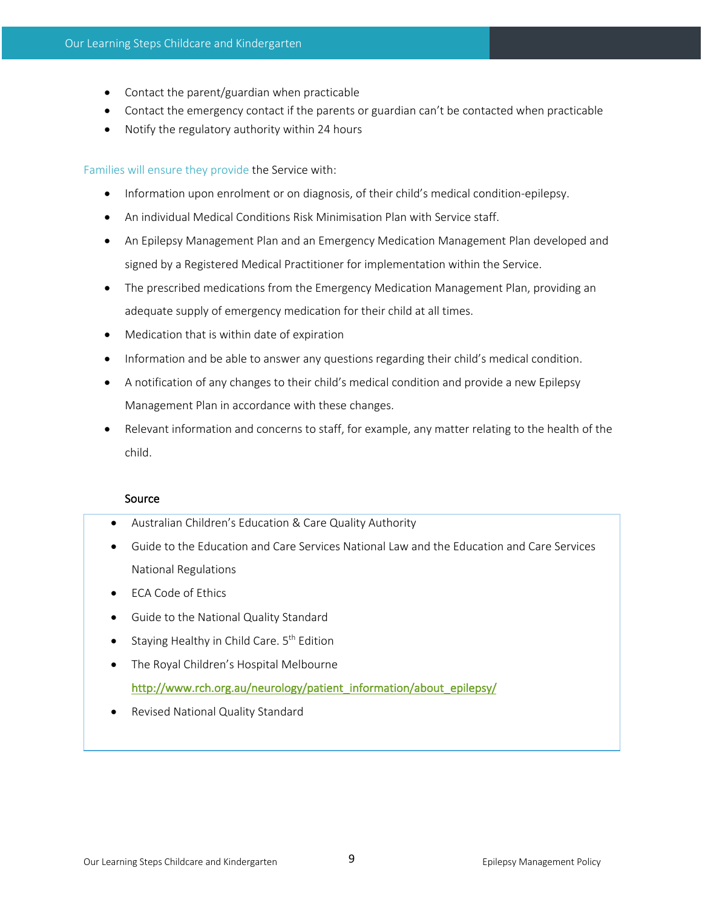- Contact the parent/guardian when practicable
- Contact the emergency contact if the parents or guardian can't be contacted when practicable
- Notify the regulatory authority within 24 hours

Families will ensure they provide the Service with:

- Information upon enrolment or on diagnosis, of their child's medical condition-epilepsy.
- An individual Medical Conditions Risk Minimisation Plan with Service staff.
- An Epilepsy Management Plan and an Emergency Medication Management Plan developed and signed by a Registered Medical Practitioner for implementation within the Service.
- The prescribed medications from the Emergency Medication Management Plan, providing an adequate supply of emergency medication for their child at all times.
- Medication that is within date of expiration
- Information and be able to answer any questions regarding their child's medical condition.
- A notification of any changes to their child's medical condition and provide a new Epilepsy Management Plan in accordance with these changes.
- Relevant information and concerns to staff, for example, any matter relating to the health of the child.

#### Source

- Australian Children's Education & Care Quality Authority
- Guide to the Education and Care Services National Law and the Education and Care Services National Regulations
- ECA Code of Ethics
- Guide to the National Quality Standard
- Staying Healthy in Child Care.  $5<sup>th</sup>$  Edition
- The Royal Children's Hospital Melbourne http://www.rch.org.au/neurology/patient\_information/about\_epilepsy/
- Revised National Quality Standard